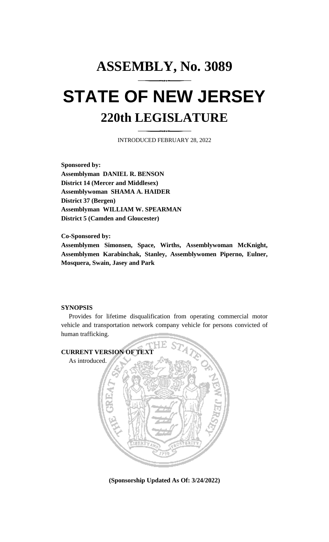# **ASSEMBLY, No. 3089 STATE OF NEW JERSEY 220th LEGISLATURE**

INTRODUCED FEBRUARY 28, 2022

**Sponsored by: Assemblyman DANIEL R. BENSON District 14 (Mercer and Middlesex) Assemblywoman SHAMA A. HAIDER District 37 (Bergen) Assemblyman WILLIAM W. SPEARMAN District 5 (Camden and Gloucester)**

**Co-Sponsored by:**

**Assemblymen Simonsen, Space, Wirths, Assemblywoman McKnight, Assemblymen Karabinchak, Stanley, Assemblywomen Piperno, Eulner, Mosquera, Swain, Jasey and Park**

#### **SYNOPSIS**

Provides for lifetime disqualification from operating commercial motor vehicle and transportation network company vehicle for persons convicted of human trafficking.



**(Sponsorship Updated As Of: 3/24/2022)**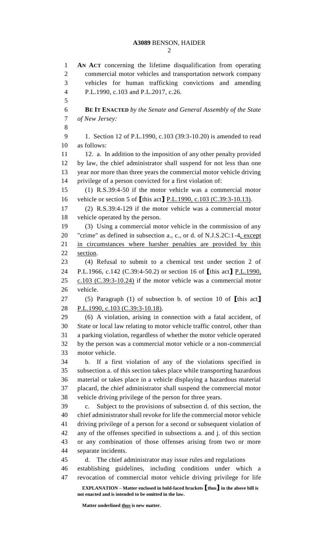#### **A3089** BENSON, HAIDER

 **AN ACT** concerning the lifetime disqualification from operating commercial motor vehicles and transportation network company vehicles for human trafficking convictions and amending P.L.1990, c.103 and P.L.2017, c.26. **BE IT ENACTED** *by the Senate and General Assembly of the State of New Jersey:* 1. Section 12 of P.L.1990, c.103 (39:3-10.20) is amended to read as follows: 11 12. a. In addition to the imposition of any other penalty provided by law, the chief administrator shall suspend for not less than one year nor more than three years the commercial motor vehicle driving privilege of a person convicted for a first violation of: (1) R.S.39:4-50 if the motor vehicle was a commercial motor vehicle or section 5 of **[**this act**]** P.L.1990, c.103 (C.39:3-10.13). (2) R.S.39:4-129 if the motor vehicle was a commercial motor vehicle operated by the person. (3) Using a commercial motor vehicle in the commission of any "crime" as defined in subsection a., c., or d. of N.J.S.2C:1-4, except 21 in circumstances where harsher penalties are provided by this section. (4) Refusal to submit to a chemical test under section 2 of P.L.1966, c.142 (C.39:4-50.2) or section 16 of **[**this act**]** P.L.1990, c.103 (C.39:3-10.24) if the motor vehicle was a commercial motor vehicle. (5) Paragraph (1) of subsection b. of section 10 of **[**this act**]** P.L.1990, c.103 (C.39:3-10.18). (6) A violation, arising in connection with a fatal accident, of State or local law relating to motor vehicle traffic control, other than a parking violation, regardless of whether the motor vehicle operated by the person was a commercial motor vehicle or a non-commercial motor vehicle. b. If a first violation of any of the violations specified in subsection a. of this section takes place while transporting hazardous material or takes place in a vehicle displaying a hazardous material placard, the chief administrator shall suspend the commercial motor vehicle driving privilege of the person for three years. c. Subject to the provisions of subsection d. of this section, the chief administrator shall revoke for life the commercial motor vehicle driving privilege of a person for a second or subsequent violation of any of the offenses specified in subsections a. and j. of this section or any combination of those offenses arising from two or more separate incidents. d. The chief administrator may issue rules and regulations establishing guidelines, including conditions under which a revocation of commercial motor vehicle driving privilege for life

**EXPLANATION – Matter enclosed in bold-faced brackets [thus] in the above bill is not enacted and is intended to be omitted in the law.**

**Matter underlined thus is new matter.**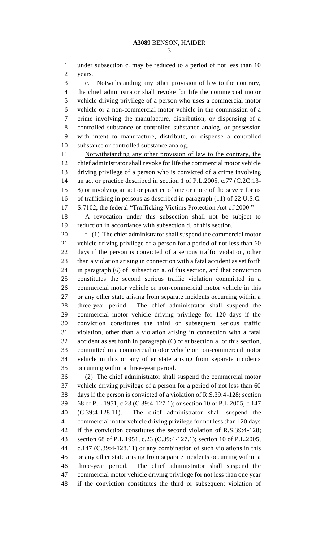under subsection c. may be reduced to a period of not less than 10 years.

 e. Notwithstanding any other provision of law to the contrary, the chief administrator shall revoke for life the commercial motor vehicle driving privilege of a person who uses a commercial motor vehicle or a non-commercial motor vehicle in the commission of a crime involving the manufacture, distribution, or dispensing of a controlled substance or controlled substance analog, or possession with intent to manufacture, distribute, or dispense a controlled substance or controlled substance analog.

 Notwithstanding any other provision of law to the contrary, the chief administrator shall revoke for life the commercial motor vehicle 13 driving privilege of a person who is convicted of a crime involving 14 an act or practice described in section 1 of P.L.2005, c.77 (C.2C:13-15 8) or involving an act or practice of one or more of the severe forms of trafficking in persons as described in paragraph (11) of 22 U.S.C. S.7102, the federal "Trafficking Victims Protection Act of 2000."

 A revocation under this subsection shall not be subject to reduction in accordance with subsection d. of this section.

 f. (1) The chief administrator shall suspend the commercial motor vehicle driving privilege of a person for a period of not less than 60 days if the person is convicted of a serious traffic violation, other than a violation arising in connection with a fatal accident as set forth in paragraph (6) of subsection a. of this section, and that conviction constitutes the second serious traffic violation committed in a commercial motor vehicle or non-commercial motor vehicle in this or any other state arising from separate incidents occurring within a three-year period. The chief administrator shall suspend the commercial motor vehicle driving privilege for 120 days if the conviction constitutes the third or subsequent serious traffic violation, other than a violation arising in connection with a fatal accident as set forth in paragraph (6) of subsection a. of this section, committed in a commercial motor vehicle or non-commercial motor vehicle in this or any other state arising from separate incidents occurring within a three-year period.

 (2) The chief administrator shall suspend the commercial motor vehicle driving privilege of a person for a period of not less than 60 days if the person is convicted of a violation of R.S.39:4-128; section 68 of P.L.1951, c.23 (C.39:4-127.1); or section 10 of P.L.2005, c.147 (C.39:4-128.11). The chief administrator shall suspend the commercial motor vehicle driving privilege for not less than 120 days if the conviction constitutes the second violation of R.S.39:4-128; section 68 of P.L.1951, c.23 (C.39:4-127.1); section 10 of P.L.2005, c.147 (C.39:4-128.11) or any combination of such violations in this or any other state arising from separate incidents occurring within a three-year period. The chief administrator shall suspend the commercial motor vehicle driving privilege for not less than one year if the conviction constitutes the third or subsequent violation of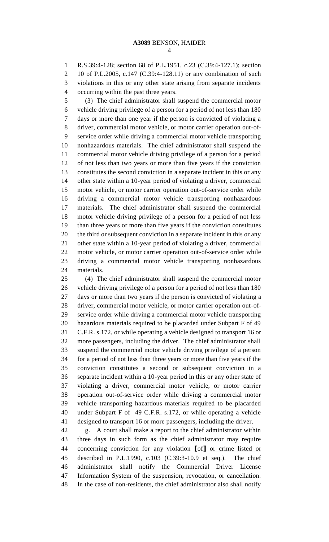R.S.39:4-128; section 68 of P.L.1951, c.23 (C.39:4-127.1); section 10 of P.L.2005, c.147 (C.39:4-128.11) or any combination of such violations in this or any other state arising from separate incidents occurring within the past three years.

 (3) The chief administrator shall suspend the commercial motor vehicle driving privilege of a person for a period of not less than 180 days or more than one year if the person is convicted of violating a driver, commercial motor vehicle, or motor carrier operation out-of- service order while driving a commercial motor vehicle transporting nonhazardous materials. The chief administrator shall suspend the commercial motor vehicle driving privilege of a person for a period of not less than two years or more than five years if the conviction constitutes the second conviction in a separate incident in this or any other state within a 10-year period of violating a driver, commercial motor vehicle, or motor carrier operation out-of-service order while driving a commercial motor vehicle transporting nonhazardous materials. The chief administrator shall suspend the commercial motor vehicle driving privilege of a person for a period of not less than three years or more than five years if the conviction constitutes the third or subsequent conviction in a separate incident in this or any other state within a 10-year period of violating a driver, commercial motor vehicle, or motor carrier operation out-of-service order while driving a commercial motor vehicle transporting nonhazardous materials.

 (4) The chief administrator shall suspend the commercial motor vehicle driving privilege of a person for a period of not less than 180 days or more than two years if the person is convicted of violating a driver, commercial motor vehicle, or motor carrier operation out-of- service order while driving a commercial motor vehicle transporting hazardous materials required to be placarded under Subpart F of 49 C.F.R. s.172, or while operating a vehicle designed to transport 16 or more passengers, including the driver. The chief administrator shall suspend the commercial motor vehicle driving privilege of a person for a period of not less than three years or more than five years if the conviction constitutes a second or subsequent conviction in a separate incident within a 10-year period in this or any other state of violating a driver, commercial motor vehicle, or motor carrier operation out-of-service order while driving a commercial motor vehicle transporting hazardous materials required to be placarded under Subpart F of 49 C.F.R. s.172, or while operating a vehicle designed to transport 16 or more passengers, including the driver.

 g. A court shall make a report to the chief administrator within three days in such form as the chief administrator may require concerning conviction for any violation **[**of**]** or crime listed or described in P.L.1990, c.103 (C.39:3-10.9 et seq.). The chief administrator shall notify the Commercial Driver License Information System of the suspension, revocation, or cancellation. In the case of non-residents, the chief administrator also shall notify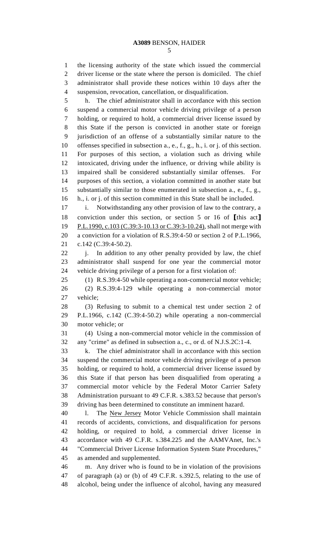the licensing authority of the state which issued the commercial driver license or the state where the person is domiciled. The chief administrator shall provide these notices within 10 days after the suspension, revocation, cancellation, or disqualification.

 h. The chief administrator shall in accordance with this section suspend a commercial motor vehicle driving privilege of a person holding, or required to hold, a commercial driver license issued by this State if the person is convicted in another state or foreign jurisdiction of an offense of a substantially similar nature to the offenses specified in subsection a., e., f., g., h., i. or j. of this section. For purposes of this section, a violation such as driving while intoxicated, driving under the influence, or driving while ability is impaired shall be considered substantially similar offenses. For purposes of this section, a violation committed in another state but substantially similar to those enumerated in subsection a., e., f., g., h., i. or j. of this section committed in this State shall be included.

 i. Notwithstanding any other provision of law to the contrary, a conviction under this section, or section 5 or 16 of **[**this act**]** 19 P.L.1990, c.103 (C.39:3-10.13 or C.39:3-10.24), shall not merge with a conviction for a violation of R.S.39:4-50 or section 2 of P.L.1966, c.142 (C.39:4-50.2).

22 j. In addition to any other penalty provided by law, the chief administrator shall suspend for one year the commercial motor vehicle driving privilege of a person for a first violation of:

 (1) R.S.39:4-50 while operating a non-commercial motor vehicle; (2) R.S.39:4-129 while operating a non-commercial motor vehicle;

 (3) Refusing to submit to a chemical test under section 2 of P.L.1966, c.142 (C.39:4-50.2) while operating a non-commercial motor vehicle; or

 (4) Using a non-commercial motor vehicle in the commission of any "crime" as defined in subsection a., c., or d. of N.J.S.2C:1-4.

 k. The chief administrator shall in accordance with this section suspend the commercial motor vehicle driving privilege of a person holding, or required to hold, a commercial driver license issued by this State if that person has been disqualified from operating a commercial motor vehicle by the Federal Motor Carrier Safety Administration pursuant to 49 C.F.R. s.383.52 because that person's driving has been determined to constitute an imminent hazard.

 l. The New Jersey Motor Vehicle Commission shall maintain records of accidents, convictions, and disqualification for persons holding, or required to hold, a commercial driver license in accordance with 49 C.F.R. s.384.225 and the AAMVAnet, Inc.'s "Commercial Driver License Information System State Procedures," as amended and supplemented.

 m. Any driver who is found to be in violation of the provisions of paragraph (a) or (b) of 49 C.F.R. s.392.5, relating to the use of alcohol, being under the influence of alcohol, having any measured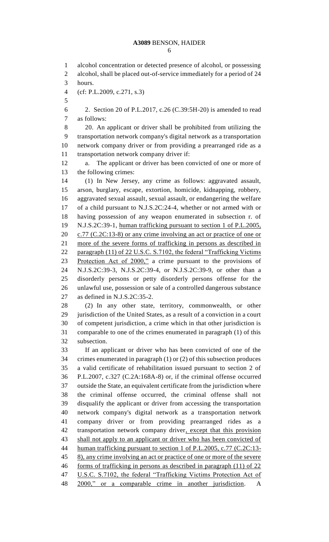### **A3089** BENSON, HAIDER

 alcohol concentration or detected presence of alcohol, or possessing alcohol, shall be placed out-of-service immediately for a period of 24 hours. (cf: P.L.2009, c.271, s.3) 2. Section 20 of P.L.2017, c.26 (C.39:5H-20) is amended to read as follows: 20. An applicant or driver shall be prohibited from utilizing the transportation network company's digital network as a transportation network company driver or from providing a prearranged ride as a transportation network company driver if: a. The applicant or driver has been convicted of one or more of the following crimes: (1) In New Jersey, any crime as follows: aggravated assault, arson, burglary, escape, extortion, homicide, kidnapping, robbery, aggravated sexual assault, sexual assault, or endangering the welfare of a child pursuant to N.J.S.2C:24-4, whether or not armed with or having possession of any weapon enumerated in subsection r. of N.J.S.2C:39-1, human trafficking pursuant to section 1 of P.L.2005, 20 c.77 (C.2C:13-8) or any crime involving an act or practice of one or more of the severe forms of trafficking in persons as described in 22 paragraph (11) of 22 U.S.C. S.7102, the federal "Trafficking Victims Protection Act of 2000," a crime pursuant to the provisions of N.J.S.2C:39-3, N.J.S.2C:39-4, or N.J.S.2C:39-9, or other than a disorderly persons or petty disorderly persons offense for the unlawful use, possession or sale of a controlled dangerous substance as defined in N.J.S.2C:35-2. (2) In any other state, territory, commonwealth, or other jurisdiction of the United States, as a result of a conviction in a court of competent jurisdiction, a crime which in that other jurisdiction is comparable to one of the crimes enumerated in paragraph (1) of this subsection. If an applicant or driver who has been convicted of one of the crimes enumerated in paragraph (1) or (2) of this subsection produces a valid certificate of rehabilitation issued pursuant to section 2 of P.L.2007, c.327 (C.2A:168A-8) or, if the criminal offense occurred outside the State, an equivalent certificate from the jurisdiction where the criminal offense occurred, the criminal offense shall not disqualify the applicant or driver from accessing the transportation network company's digital network as a transportation network company driver or from providing prearranged rides as a transportation network company driver, except that this provision 43 shall not apply to an applicant or driver who has been convicted of human trafficking pursuant to section 1 of P.L.2005, c.77 (C.2C:13- 45 8), any crime involving an act or practice of one or more of the severe forms of trafficking in persons as described in paragraph (11) of 22 U.S.C. S.7102, the federal "Trafficking Victims Protection Act of 2000," or a comparable crime in another jurisdiction. A